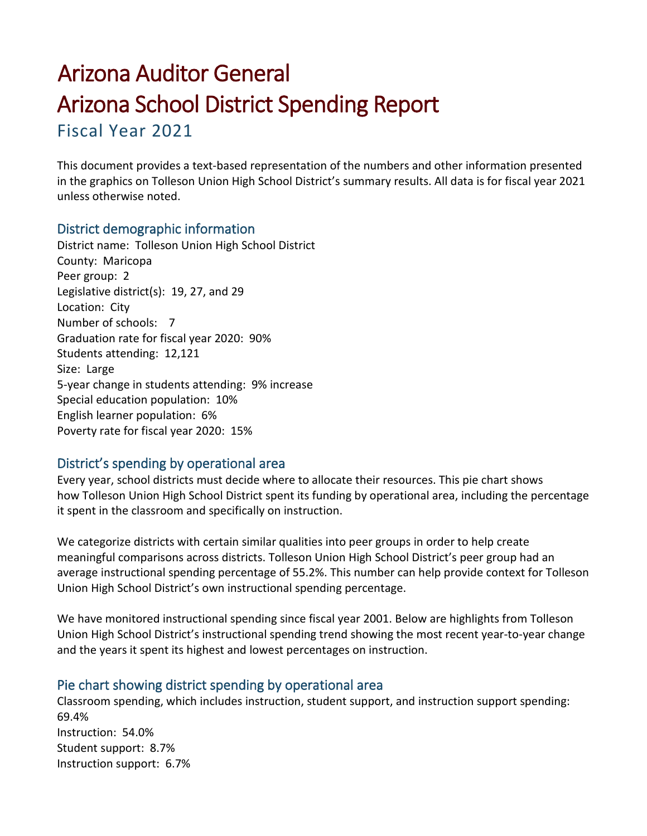# Arizona Auditor General Arizona School District Spending Report

Fiscal Year 2021

This document provides a text-based representation of the numbers and other information presented in the graphics on Tolleson Union High School District's summary results. All data is for fiscal year 2021 unless otherwise noted.

## District demographic information

District name: Tolleson Union High School District County: Maricopa Peer group: 2 Legislative district(s): 19, 27, and 29 Location: City Number of schools: 7 Graduation rate for fiscal year 2020: 90% Students attending: 12,121 Size: Large 5-year change in students attending: 9% increase Special education population: 10% English learner population: 6% Poverty rate for fiscal year 2020: 15%

# District's spending by operational area

Every year, school districts must decide where to allocate their resources. This pie chart shows how Tolleson Union High School District spent its funding by operational area, including the percentage it spent in the classroom and specifically on instruction.

We categorize districts with certain similar qualities into peer groups in order to help create meaningful comparisons across districts. Tolleson Union High School District's peer group had an average instructional spending percentage of 55.2%. This number can help provide context for Tolleson Union High School District's own instructional spending percentage.

We have monitored instructional spending since fiscal year 2001. Below are highlights from Tolleson Union High School District's instructional spending trend showing the most recent year-to-year change and the years it spent its highest and lowest percentages on instruction.

# Pie chart showing district spending by operational area

Classroom spending, which includes instruction, student support, and instruction support spending: 69.4% Instruction: 54.0% Student support: 8.7% Instruction support: 6.7%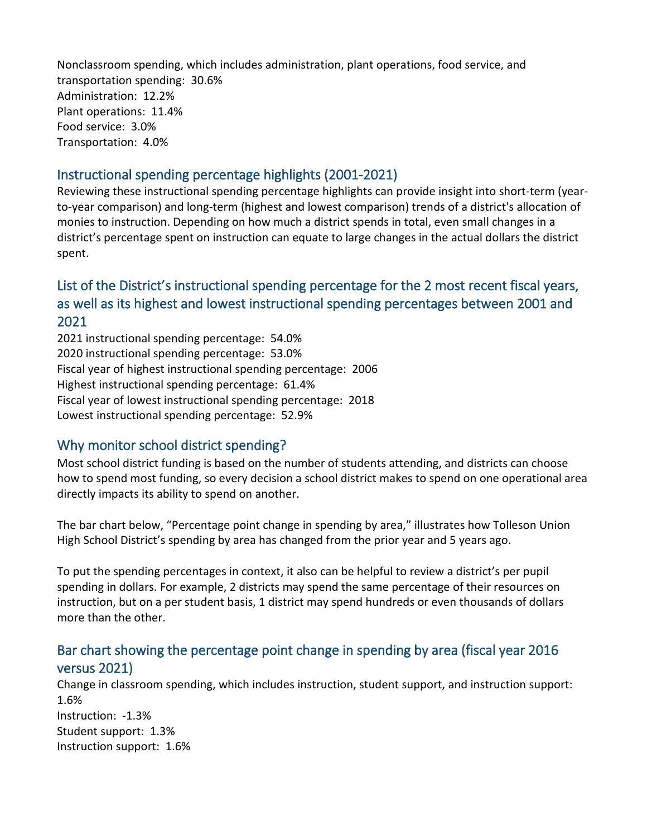Nonclassroom spending, which includes administration, plant operations, food service, and transportation spending: 30.6% Administration: 12.2% Plant operations: 11.4% Food service: 3.0% Transportation: 4.0%

## Instructional spending percentage highlights (2001-2021)

Reviewing these instructional spending percentage highlights can provide insight into short-term (yearto-year comparison) and long-term (highest and lowest comparison) trends of a district's allocation of monies to instruction. Depending on how much a district spends in total, even small changes in a district's percentage spent on instruction can equate to large changes in the actual dollars the district spent.

# List of the District's instructional spending percentage for the 2 most recent fiscal years, as well as its highest and lowest instructional spending percentages between 2001 and 2021

2021 instructional spending percentage: 54.0% 2020 instructional spending percentage: 53.0% Fiscal year of highest instructional spending percentage: 2006 Highest instructional spending percentage: 61.4% Fiscal year of lowest instructional spending percentage: 2018 Lowest instructional spending percentage: 52.9%

# Why monitor school district spending?

Most school district funding is based on the number of students attending, and districts can choose how to spend most funding, so every decision a school district makes to spend on one operational area directly impacts its ability to spend on another.

The bar chart below, "Percentage point change in spending by area," illustrates how Tolleson Union High School District's spending by area has changed from the prior year and 5 years ago.

To put the spending percentages in context, it also can be helpful to review a district's per pupil spending in dollars. For example, 2 districts may spend the same percentage of their resources on instruction, but on a per student basis, 1 district may spend hundreds or even thousands of dollars more than the other.

# Bar chart showing the percentage point change in spending by area (fiscal year 2016 versus 2021)

Change in classroom spending, which includes instruction, student support, and instruction support: 1.6% Instruction: -1.3% Student support: 1.3% Instruction support: 1.6%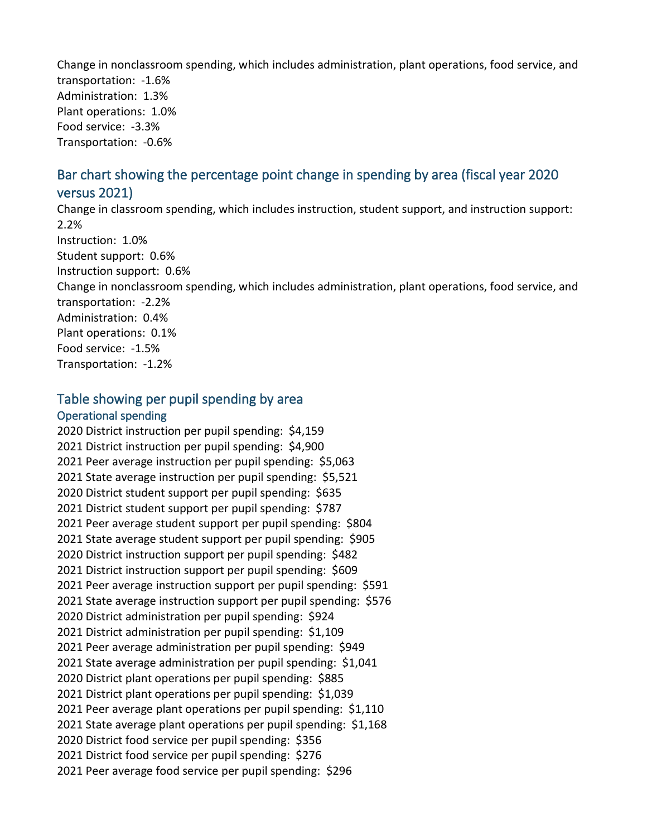Change in nonclassroom spending, which includes administration, plant operations, food service, and transportation: -1.6% Administration: 1.3% Plant operations: 1.0% Food service: -3.3% Transportation: -0.6%

## Bar chart showing the percentage point change in spending by area (fiscal year 2020 versus 2021)

Change in classroom spending, which includes instruction, student support, and instruction support: 2.2% Instruction: 1.0% Student support: 0.6% Instruction support: 0.6% Change in nonclassroom spending, which includes administration, plant operations, food service, and transportation: -2.2% Administration: 0.4% Plant operations: 0.1% Food service: -1.5% Transportation: -1.2%

## Table showing per pupil spending by area

#### Operational spending

2020 District instruction per pupil spending: \$4,159 2021 District instruction per pupil spending: \$4,900 2021 Peer average instruction per pupil spending: \$5,063 2021 State average instruction per pupil spending: \$5,521 2020 District student support per pupil spending: \$635 2021 District student support per pupil spending: \$787 2021 Peer average student support per pupil spending: \$804 2021 State average student support per pupil spending: \$905 2020 District instruction support per pupil spending: \$482 2021 District instruction support per pupil spending: \$609 2021 Peer average instruction support per pupil spending: \$591 2021 State average instruction support per pupil spending: \$576 2020 District administration per pupil spending: \$924 2021 District administration per pupil spending: \$1,109 2021 Peer average administration per pupil spending: \$949 2021 State average administration per pupil spending: \$1,041 2020 District plant operations per pupil spending: \$885 2021 District plant operations per pupil spending: \$1,039 2021 Peer average plant operations per pupil spending: \$1,110 2021 State average plant operations per pupil spending: \$1,168 2020 District food service per pupil spending: \$356 2021 District food service per pupil spending: \$276 2021 Peer average food service per pupil spending: \$296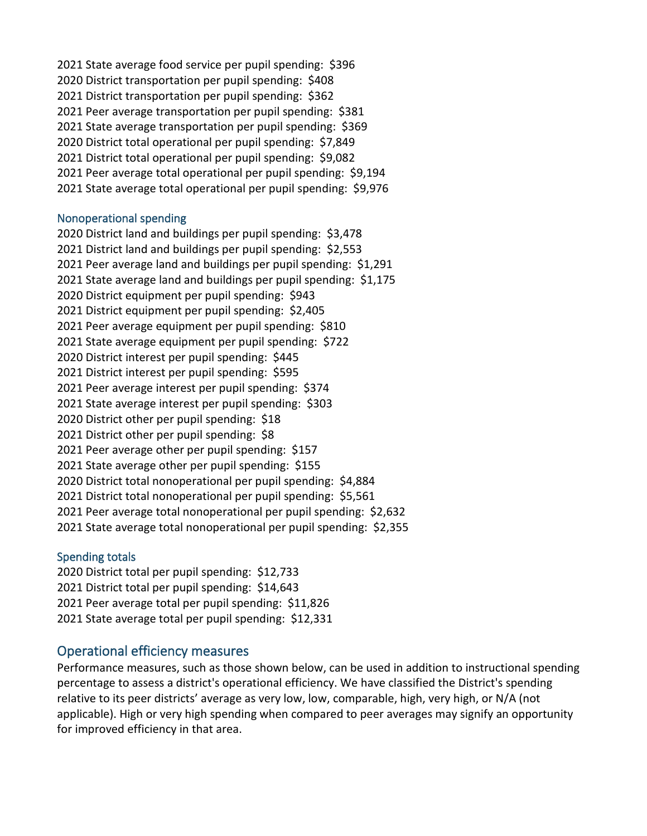2021 State average food service per pupil spending: \$396 2020 District transportation per pupil spending: \$408 2021 District transportation per pupil spending: \$362 2021 Peer average transportation per pupil spending: \$381 2021 State average transportation per pupil spending: \$369 2020 District total operational per pupil spending: \$7,849 2021 District total operational per pupil spending: \$9,082 2021 Peer average total operational per pupil spending: \$9,194 2021 State average total operational per pupil spending: \$9,976

#### Nonoperational spending

2020 District land and buildings per pupil spending: \$3,478 2021 District land and buildings per pupil spending: \$2,553 2021 Peer average land and buildings per pupil spending: \$1,291 2021 State average land and buildings per pupil spending: \$1,175 2020 District equipment per pupil spending: \$943 2021 District equipment per pupil spending: \$2,405 2021 Peer average equipment per pupil spending: \$810 2021 State average equipment per pupil spending: \$722 2020 District interest per pupil spending: \$445 2021 District interest per pupil spending: \$595 2021 Peer average interest per pupil spending: \$374 2021 State average interest per pupil spending: \$303 2020 District other per pupil spending: \$18 2021 District other per pupil spending: \$8 2021 Peer average other per pupil spending: \$157 2021 State average other per pupil spending: \$155 2020 District total nonoperational per pupil spending: \$4,884 2021 District total nonoperational per pupil spending: \$5,561 2021 Peer average total nonoperational per pupil spending: \$2,632 2021 State average total nonoperational per pupil spending: \$2,355

#### Spending totals

2020 District total per pupil spending: \$12,733 2021 District total per pupil spending: \$14,643 2021 Peer average total per pupil spending: \$11,826 2021 State average total per pupil spending: \$12,331

## Operational efficiency measures

Performance measures, such as those shown below, can be used in addition to instructional spending percentage to assess a district's operational efficiency. We have classified the District's spending relative to its peer districts' average as very low, low, comparable, high, very high, or N/A (not applicable). High or very high spending when compared to peer averages may signify an opportunity for improved efficiency in that area.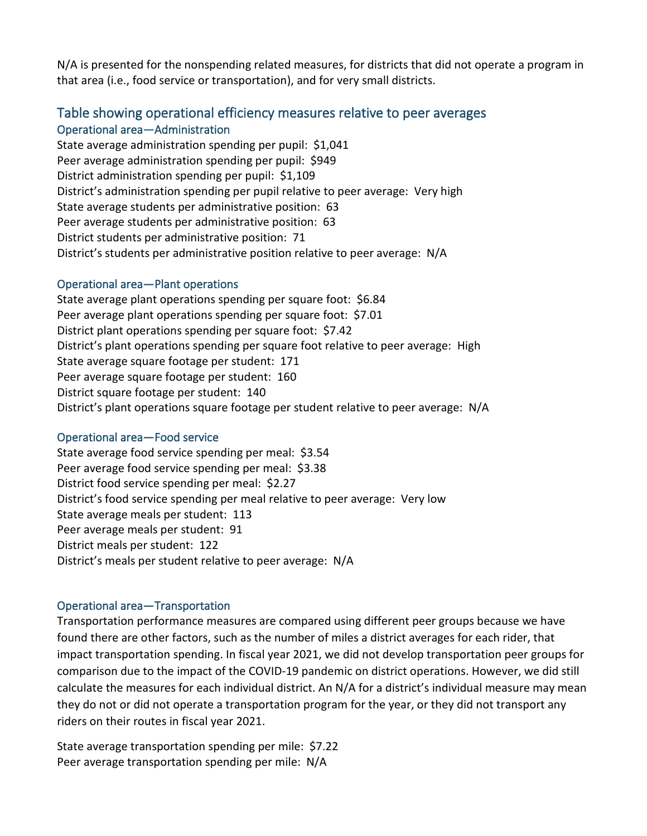N/A is presented for the nonspending related measures, for districts that did not operate a program in that area (i.e., food service or transportation), and for very small districts.

# Table showing operational efficiency measures relative to peer averages Operational area—Administration

State average administration spending per pupil: \$1,041 Peer average administration spending per pupil: \$949 District administration spending per pupil: \$1,109 District's administration spending per pupil relative to peer average: Very high State average students per administrative position: 63 Peer average students per administrative position: 63 District students per administrative position: 71 District's students per administrative position relative to peer average: N/A

### Operational area—Plant operations

State average plant operations spending per square foot: \$6.84 Peer average plant operations spending per square foot: \$7.01 District plant operations spending per square foot: \$7.42 District's plant operations spending per square foot relative to peer average: High State average square footage per student: 171 Peer average square footage per student: 160 District square footage per student: 140 District's plant operations square footage per student relative to peer average: N/A

## Operational area—Food service

State average food service spending per meal: \$3.54 Peer average food service spending per meal: \$3.38 District food service spending per meal: \$2.27 District's food service spending per meal relative to peer average: Very low State average meals per student: 113 Peer average meals per student: 91 District meals per student: 122 District's meals per student relative to peer average: N/A

## Operational area—Transportation

Transportation performance measures are compared using different peer groups because we have found there are other factors, such as the number of miles a district averages for each rider, that impact transportation spending. In fiscal year 2021, we did not develop transportation peer groups for comparison due to the impact of the COVID-19 pandemic on district operations. However, we did still calculate the measures for each individual district. An N/A for a district's individual measure may mean they do not or did not operate a transportation program for the year, or they did not transport any riders on their routes in fiscal year 2021.

State average transportation spending per mile: \$7.22 Peer average transportation spending per mile: N/A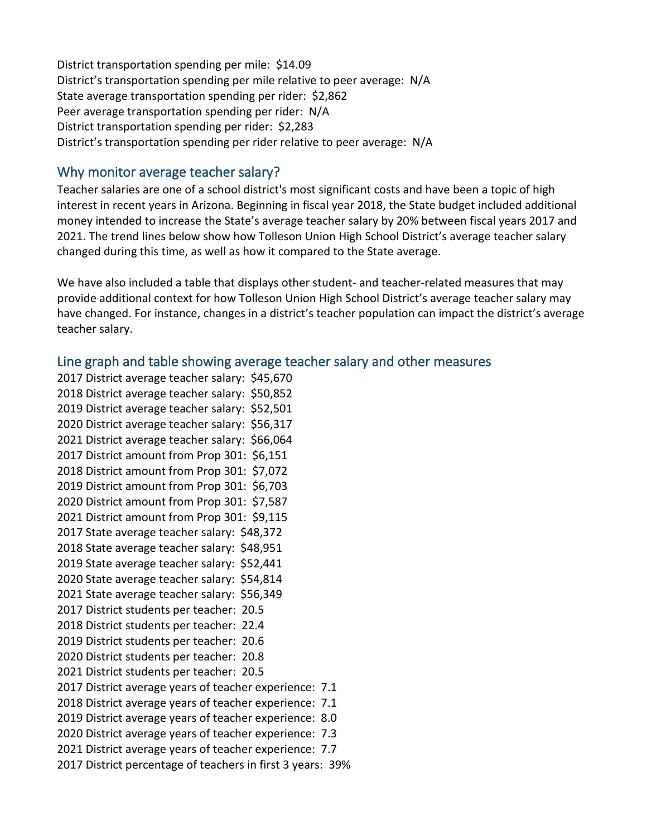District transportation spending per mile: \$14.09 District's transportation spending per mile relative to peer average: N/A State average transportation spending per rider: \$2,862 Peer average transportation spending per rider: N/A District transportation spending per rider: \$2,283 District's transportation spending per rider relative to peer average: N/A

## Why monitor average teacher salary?

Teacher salaries are one of a school district's most significant costs and have been a topic of high interest in recent years in Arizona. Beginning in fiscal year 2018, the State budget included additional money intended to increase the State's average teacher salary by 20% between fiscal years 2017 and 2021. The trend lines below show how Tolleson Union High School District's average teacher salary changed during this time, as well as how it compared to the State average.

We have also included a table that displays other student- and teacher-related measures that may provide additional context for how Tolleson Union High School District's average teacher salary may have changed. For instance, changes in a district's teacher population can impact the district's average teacher salary.

# Line graph and table showing average teacher salary and other measures

2017 District average teacher salary: \$45,670 2018 District average teacher salary: \$50,852 2019 District average teacher salary: \$52,501 2020 District average teacher salary: \$56,317 2021 District average teacher salary: \$66,064 2017 District amount from Prop 301: \$6,151 2018 District amount from Prop 301: \$7,072 2019 District amount from Prop 301: \$6,703 2020 District amount from Prop 301: \$7,587 2021 District amount from Prop 301: \$9,115 2017 State average teacher salary: \$48,372 2018 State average teacher salary: \$48,951 2019 State average teacher salary: \$52,441 2020 State average teacher salary: \$54,814 2021 State average teacher salary: \$56,349 2017 District students per teacher: 20.5 2018 District students per teacher: 22.4 2019 District students per teacher: 20.6 2020 District students per teacher: 20.8 2021 District students per teacher: 20.5 2017 District average years of teacher experience: 7.1 2018 District average years of teacher experience: 7.1 2019 District average years of teacher experience: 8.0 2020 District average years of teacher experience: 7.3 2021 District average years of teacher experience: 7.7 2017 District percentage of teachers in first 3 years: 39%